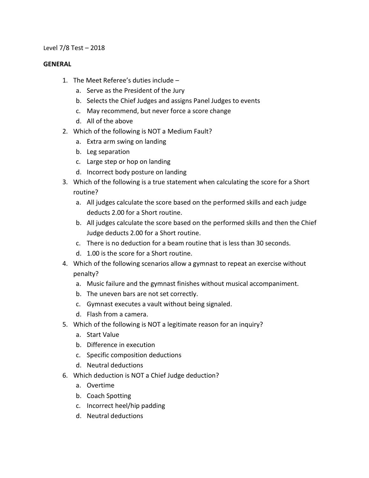### Level 7/8 Test – 2018

#### **GENERAL**

- 1. The Meet Referee's duties include
	- a. Serve as the President of the Jury
	- b. Selects the Chief Judges and assigns Panel Judges to events
	- c. May recommend, but never force a score change
	- d. All of the above
- 2. Which of the following is NOT a Medium Fault?
	- a. Extra arm swing on landing
	- b. Leg separation
	- c. Large step or hop on landing
	- d. Incorrect body posture on landing
- 3. Which of the following is a true statement when calculating the score for a Short routine?
	- a. All judges calculate the score based on the performed skills and each judge deducts 2.00 for a Short routine.
	- b. All judges calculate the score based on the performed skills and then the Chief Judge deducts 2.00 for a Short routine.
	- c. There is no deduction for a beam routine that is less than 30 seconds.
	- d. 1.00 is the score for a Short routine.
- 4. Which of the following scenarios allow a gymnast to repeat an exercise without penalty?
	- a. Music failure and the gymnast finishes without musical accompaniment.
	- b. The uneven bars are not set correctly.
	- c. Gymnast executes a vault without being signaled.
	- d. Flash from a camera.
- 5. Which of the following is NOT a legitimate reason for an inquiry?
	- a. Start Value
	- b. Difference in execution
	- c. Specific composition deductions
	- d. Neutral deductions
- 6. Which deduction is NOT a Chief Judge deduction?
	- a. Overtime
	- b. Coach Spotting
	- c. Incorrect heel/hip padding
	- d. Neutral deductions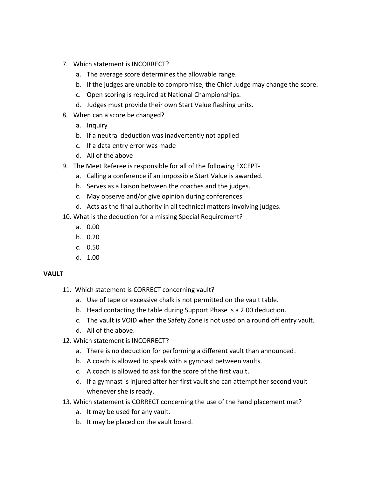- 7. Which statement is INCORRECT?
	- a. The average score determines the allowable range.
	- b. If the judges are unable to compromise, the Chief Judge may change the score.
	- c. Open scoring is required at National Championships.
	- d. Judges must provide their own Start Value flashing units.
- 8. When can a score be changed?
	- a. Inquiry
	- b. If a neutral deduction was inadvertently not applied
	- c. If a data entry error was made
	- d. All of the above
- 9. The Meet Referee is responsible for all of the following EXCEPT
	- a. Calling a conference if an impossible Start Value is awarded.
	- b. Serves as a liaison between the coaches and the judges.
	- c. May observe and/or give opinion during conferences.
	- d. Acts as the final authority in all technical matters involving judges.
- 10. What is the deduction for a missing Special Requirement?
	- a. 0.00
	- b. 0.20
	- c. 0.50
	- d. 1.00

# **VAULT**

- 11. Which statement is CORRECT concerning vault?
	- a. Use of tape or excessive chalk is not permitted on the vault table.
	- b. Head contacting the table during Support Phase is a 2.00 deduction.
	- c. The vault is VOID when the Safety Zone is not used on a round off entry vault.
	- d. All of the above.
- 12. Which statement is INCORRECT?
	- a. There is no deduction for performing a different vault than announced.
	- b. A coach is allowed to speak with a gymnast between vaults.
	- c. A coach is allowed to ask for the score of the first vault.
	- d. If a gymnast is injured after her first vault she can attempt her second vault whenever she is ready.
- 13. Which statement is CORRECT concerning the use of the hand placement mat?
	- a. It may be used for any vault.
	- b. It may be placed on the vault board.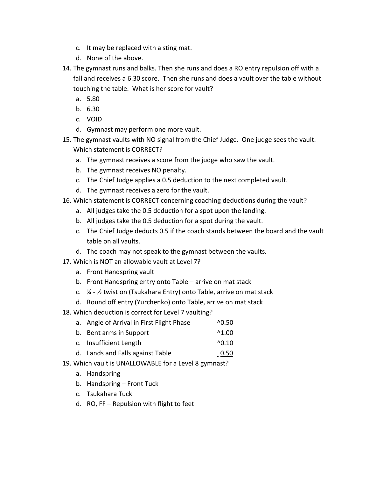- c. It may be replaced with a sting mat.
- d. None of the above.
- 14. The gymnast runs and balks. Then she runs and does a RO entry repulsion off with a fall and receives a 6.30 score. Then she runs and does a vault over the table without touching the table. What is her score for vault?
	- a. 5.80
	- b. 6.30
	- c. VOID
	- d. Gymnast may perform one more vault.
- 15. The gymnast vaults with NO signal from the Chief Judge. One judge sees the vault. Which statement is CORRECT?
	- a. The gymnast receives a score from the judge who saw the vault.
	- b. The gymnast receives NO penalty.
	- c. The Chief Judge applies a 0.5 deduction to the next completed vault.
	- d. The gymnast receives a zero for the vault.
- 16. Which statement is CORRECT concerning coaching deductions during the vault?
	- a. All judges take the 0.5 deduction for a spot upon the landing.
	- b. All judges take the 0.5 deduction for a spot during the vault.
	- c. The Chief Judge deducts 0.5 if the coach stands between the board and the vault table on all vaults.
	- d. The coach may not speak to the gymnast between the vaults.
- 17. Which is NOT an allowable vault at Level 7?
	- a. Front Handspring vault
	- b. Front Handspring entry onto Table arrive on mat stack
	- c. ¼ ½ twist on (Tsukahara Entry) onto Table, arrive on mat stack
	- d. Round off entry (Yurchenko) onto Table, arrive on mat stack
- 18. Which deduction is correct for Level 7 vaulting?
	- a. Angle of Arrival in First Flight Phase ^0.50
	- b. Bent arms in Support  $\sim$ 1.00
	- c. Insufficient Length ^0.10
	- d. Lands and Falls against Table 0.50
- 19. Which vault is UNALLOWABLE for a Level 8 gymnast?
	- a. Handspring
	- b. Handspring Front Tuck
	- c. Tsukahara Tuck
	- d. RO, FF Repulsion with flight to feet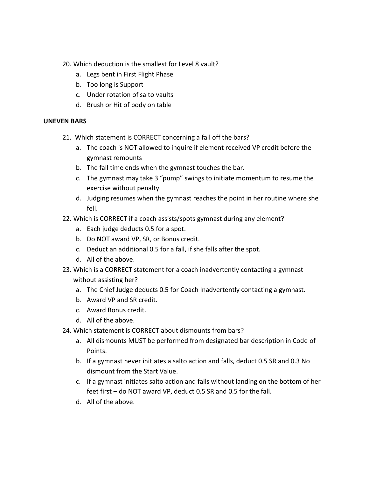- 20. Which deduction is the smallest for Level 8 vault?
	- a. Legs bent in First Flight Phase
	- b. Too long is Support
	- c. Under rotation of salto vaults
	- d. Brush or Hit of body on table

## **UNEVEN BARS**

- 21. Which statement is CORRECT concerning a fall off the bars?
	- a. The coach is NOT allowed to inquire if element received VP credit before the gymnast remounts
	- b. The fall time ends when the gymnast touches the bar.
	- c. The gymnast may take 3 "pump" swings to initiate momentum to resume the exercise without penalty.
	- d. Judging resumes when the gymnast reaches the point in her routine where she fell.
- 22. Which is CORRECT if a coach assists/spots gymnast during any element?
	- a. Each judge deducts 0.5 for a spot.
	- b. Do NOT award VP, SR, or Bonus credit.
	- c. Deduct an additional 0.5 for a fall, if she falls after the spot.
	- d. All of the above.
- 23. Which is a CORRECT statement for a coach inadvertently contacting a gymnast without assisting her?
	- a. The Chief Judge deducts 0.5 for Coach Inadvertently contacting a gymnast.
	- b. Award VP and SR credit.
	- c. Award Bonus credit.
	- d. All of the above.
- 24. Which statement is CORRECT about dismounts from bars?
	- a. All dismounts MUST be performed from designated bar description in Code of Points.
	- b. If a gymnast never initiates a salto action and falls, deduct 0.5 SR and 0.3 No dismount from the Start Value.
	- c. If a gymnast initiates salto action and falls without landing on the bottom of her feet first – do NOT award VP, deduct 0.5 SR and 0.5 for the fall.
	- d. All of the above.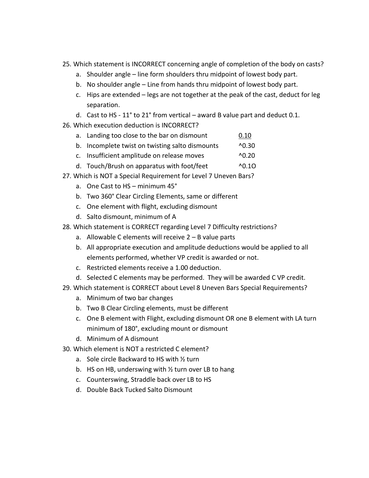- 25. Which statement is INCORRECT concerning angle of completion of the body on casts?
	- a. Shoulder angle line form shoulders thru midpoint of lowest body part.
	- b. No shoulder angle Line from hands thru midpoint of lowest body part.
	- c. Hips are extended legs are not together at the peak of the cast, deduct for leg separation.
	- d. Cast to HS 11° to 21° from vertical award B value part and deduct 0.1.
- 26. Which execution deduction is INCORRECT?
	- a. Landing too close to the bar on dismount 0.10
	- b. Incomplete twist on twisting salto dismounts ^0.30
	- c. Insufficient amplitude on release moves ^0.20
	- d. Touch/Brush on apparatus with foot/feet ^0.1O
- 27. Which is NOT a Special Requirement for Level 7 Uneven Bars?
	- a. One Cast to HS minimum 45°
	- b. Two 360° Clear Circling Elements, same or different
	- c. One element with flight, excluding dismount
	- d. Salto dismount, minimum of A
- 28. Which statement is CORRECT regarding Level 7 Difficulty restrictions?
	- a. Allowable C elements will receive 2 B value parts
	- b. All appropriate execution and amplitude deductions would be applied to all elements performed, whether VP credit is awarded or not.
	- c. Restricted elements receive a 1.00 deduction.
	- d. Selected C elements may be performed. They will be awarded C VP credit.
- 29. Which statement is CORRECT about Level 8 Uneven Bars Special Requirements?
	- a. Minimum of two bar changes
	- b. Two B Clear Circling elements, must be different
	- c. One B element with Flight, excluding dismount OR one B element with LA turn minimum of 180°, excluding mount or dismount
	- d. Minimum of A dismount
- 30. Which element is NOT a restricted C element?
	- a. Sole circle Backward to HS with ½ turn
	- b. HS on HB, underswing with ½ turn over LB to hang
	- c. Counterswing, Straddle back over LB to HS
	- d. Double Back Tucked Salto Dismount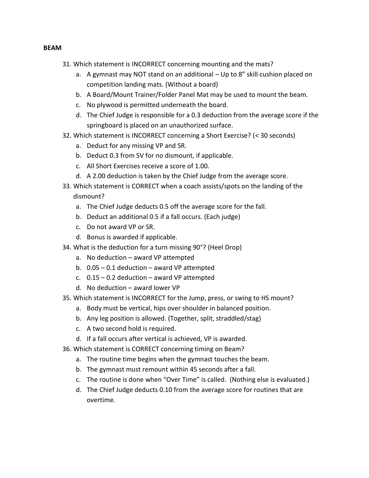#### **BEAM**

- 31. Which statement is INCORRECT concerning mounting and the mats?
	- a. A gymnast may NOT stand on an additional Up to 8" skill cushion placed on competition landing mats. (Without a board)
	- b. A Board/Mount Trainer/Folder Panel Mat may be used to mount the beam.
	- c. No plywood is permitted underneath the board.
	- d. The Chief Judge is responsible for a 0.3 deduction from the average score if the springboard is placed on an unauthorized surface.
- 32. Which statement is INCORRECT concerning a Short Exercise? (< 30 seconds)
	- a. Deduct for any missing VP and SR.
	- b. Deduct 0.3 from SV for no dismount, if applicable.
	- c. All Short Exercises receive a score of 1.00.
	- d. A 2.00 deduction is taken by the Chief Judge from the average score.
- 33. Which statement is CORRECT when a coach assists/spots on the landing of the dismount?
	- a. The Chief Judge deducts 0.5 off the average score for the fall.
	- b. Deduct an additional 0.5 if a fall occurs. (Each judge)
	- c. Do not award VP or SR.
	- d. Bonus is awarded if applicable.
- 34. What is the deduction for a turn missing 90°? (Heel Drop)
	- a. No deduction award VP attempted
	- b.  $0.05 0.1$  deduction award VP attempted
	- c.  $0.15 0.2$  deduction award VP attempted
	- d. No deduction award lower VP
- 35. Which statement is INCORRECT for the Jump, press, or swing to HS mount?
	- a. Body must be vertical, hips over shoulder in balanced position.
	- b. Any leg position is allowed. (Together, split, straddled/stag)
	- c. A two second hold is required.
	- d. If a fall occurs after vertical is achieved, VP is awarded.
- 36. Which statement is CORRECT concerning timing on Beam?
	- a. The routine time begins when the gymnast touches the beam.
	- b. The gymnast must remount within 45 seconds after a fall.
	- c. The routine is done when "Over Time" is called. (Nothing else is evaluated.)
	- d. The Chief Judge deducts 0.10 from the average score for routines that are overtime.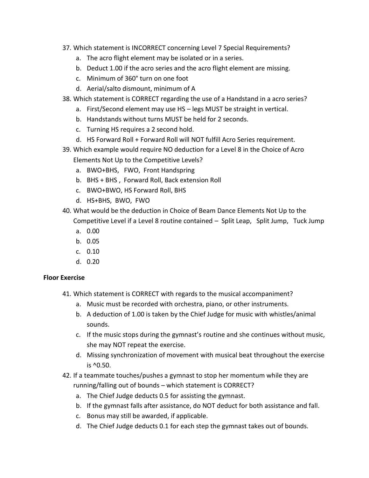- 37. Which statement is INCORRECT concerning Level 7 Special Requirements?
	- a. The acro flight element may be isolated or in a series.
	- b. Deduct 1.00 if the acro series and the acro flight element are missing.
	- c. Minimum of 360° turn on one foot
	- d. Aerial/salto dismount, minimum of A
- 38. Which statement is CORRECT regarding the use of a Handstand in a acro series?
	- a. First/Second element may use HS legs MUST be straight in vertical.
	- b. Handstands without turns MUST be held for 2 seconds.
	- c. Turning HS requires a 2 second hold.
	- d. HS Forward Roll + Forward Roll will NOT fulfill Acro Series requirement.
- 39. Which example would require NO deduction for a Level 8 in the Choice of Acro Elements Not Up to the Competitive Levels?
	- a. BWO+BHS, FWO, Front Handspring
	- b. BHS + BHS , Forward Roll, Back extension Roll
	- c. BWO+BWO, HS Forward Roll, BHS
	- d. HS+BHS, BWO, FWO
- 40. What would be the deduction in Choice of Beam Dance Elements Not Up to the Competitive Level if a Level 8 routine contained – Split Leap, Split Jump, Tuck Jump
	- a. 0.00
	- b. 0.05
	- c. 0.10
	- d. 0.20

## **Floor Exercise**

- 41. Which statement is CORRECT with regards to the musical accompaniment?
	- a. Music must be recorded with orchestra, piano, or other instruments.
	- b. A deduction of 1.00 is taken by the Chief Judge for music with whistles/animal sounds.
	- c. If the music stops during the gymnast's routine and she continues without music, she may NOT repeat the exercise.
	- d. Missing synchronization of movement with musical beat throughout the exercise is ^0.50.
- 42. If a teammate touches/pushes a gymnast to stop her momentum while they are running/falling out of bounds – which statement is CORRECT?
	- a. The Chief Judge deducts 0.5 for assisting the gymnast.
	- b. If the gymnast falls after assistance, do NOT deduct for both assistance and fall.
	- c. Bonus may still be awarded, if applicable.
	- d. The Chief Judge deducts 0.1 for each step the gymnast takes out of bounds.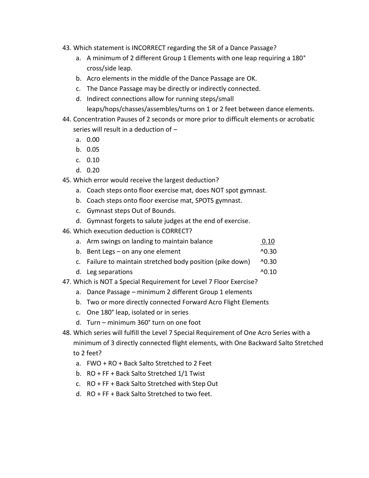- 43. Which statement is INCORRECT regarding the SR of a Dance Passage?
	- a. A minimum of 2 different Group 1 Elements with one leap requiring a 180° cross/side leap.
	- b. Acro elements in the middle of the Dance Passage are OK.
	- c. The Dance Passage may be directly or indirectly connected.
	- d. Indirect connections allow for running steps/small leaps/hops/chasses/assembles/turns on 1 or 2 feet between dance elements.
- 44. Concentration Pauses of 2 seconds or more prior to difficult elements or acrobatic series will result in a deduction of –
	- a. 0.00
	- b. 0.05
	- c. 0.10
	- d. 0.20
- 45. Which error would receive the largest deduction?
	- a. Coach steps onto floor exercise mat, does NOT spot gymnast.
	- b. Coach steps onto floor exercise mat, SPOTS gymnast.
	- c. Gymnast steps Out of Bounds.
	- d. Gymnast forgets to salute judges at the end of exercise.
- 46. Which execution deduction is CORRECT?
	- a. Arm swings on landing to maintain balance **120 a.m.** 10.10
	- b. Bent Legs on any one element  $\sim$  0.30
	- c. Failure to maintain stretched body position (pike down) ^0.30
	- d. Leg separations  $\sim$  0.10
- 47. Which is NOT a Special Requirement for Level 7 Floor Exercise?
	- a. Dance Passage minimum 2 different Group 1 elements
	- b. Two or more directly connected Forward Acro Flight Elements
	- c. One 180° leap, isolated or in series
	- d. Turn minimum 360° turn on one foot
- 48. Which series will fulfill the Level 7 Special Requirement of One Acro Series with a minimum of 3 directly connected flight elements, with One Backward Salto Stretched to 2 feet?
	- a. FWO + RO + Back Salto Stretched to 2 Feet
	- b. RO + FF + Back Salto Stretched 1/1 Twist
	- c. RO + FF + Back Salto Stretched with Step Out
	- d. RO + FF + Back Salto Stretched to two feet.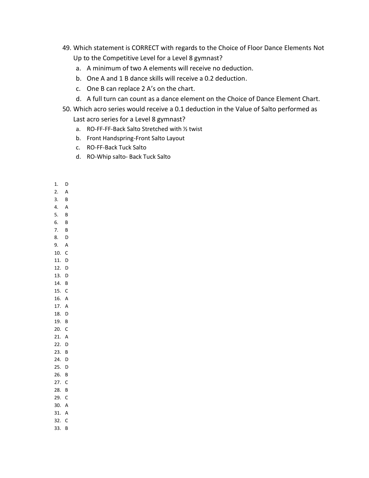- 49. Which statement is CORRECT with regards to the Choice of Floor Dance Elements Not Up to the Competitive Level for a Level 8 gymnast?
	- a. A minimum of two A elements will receive no deduction.
	- b. One A and 1 B dance skills will receive a 0.2 deduction.
	- c. One B can replace 2 A's on the chart.
	- d. A full turn can count as a dance element on the Choice of Dance Element Chart.
- 50. Which acro series would receive a 0.1 deduction in the Value of Salto performed as

Last acro series for a Level 8 gymnast?

- a. RO-FF-FF-Back Salto Stretched with ½ twist
- b. Front Handspring-Front Salto Layout
- c. RO-FF-Back Tuck Salto
- d. RO-Whip salto- Back Tuck Salto
- 1. D
- 2. A
- 3. B
- 4. A
- 5. B 6. B
- 7. B
- 8. D
- 9. A
- 10. C 11. D
- 12. D
- 13. D
- 14. B
- 15. C 16. A
- 17. A
- 18. D
- 19. B
- 20. C
- 21. A
- 22. D
- 23. B 24. D
- 25. D
- 26. B
- 27. C
- 28. B
- 29. C
- 30. A
- 31. A 32. C
- 33. B